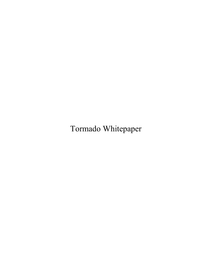Tormado Whitepaper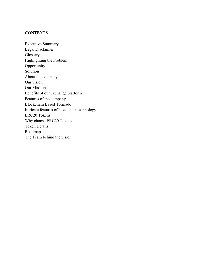## **CONTENTS**

Executive Summary Legal Disclaimer Glossary Highlighting the Problem Opportunity Solution About the company Our vision Our Mission Benefits of our exchange platform Features of the company Blockchain Based Tormado Intricate features of blockchain technology ERC20 Tokens Why choose ERC20 Tokens Token Details Roadmap The Team behind the vision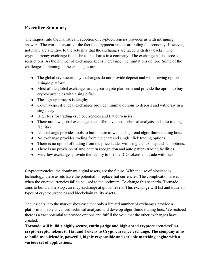## **Executive Summary**

The Inquest into the mainstream adoption of cryptocurrencies provides us with intriguing answers. The world is aware of the fact that cryptocurrencies are ruling the economy. However, not many are attentive to the actuality that the exchanges are faced with drawbacks. The cryptocurrency exchange is similar to the shares in a company. The exchange has no access restrictions. As the number of exchanges keeps increasing, the limitations do too. Some of the challenges pertaining to the exchanges are:

- The global cryptocurrency exchanges do not provide deposit and withdrawing options on a single platform.
- Most of the global exchanges are crypto-crypto platforms and provide the option to buy cryptocurrencies with a single fiat.
- The sign-up process is lengthy.
- Country-specific local exchanges provide minimal options to deposit and withdraw in a single day.
- High fees for trading cryptocurrencies and fiat currencies.
- There are few global exchanges that offer advanced technical analysis and auto trading facilities.
- No exchange provides tools to build basic as well as high-end algorithmic trading bots.
- No exchange provides trading from the chart and single click trading options
- There is no option of trading from the price ladder with single click buy and sell options.
- There is no provision of auto pattern recognition and auto pattern trading facilities.
- Very few exchanges provide the facility to list the ICO tokens and trade with fiats.

Cryptocurrencies, the dominant digital assets, are the future. With the use of blockchain technology, these assets have the potential to replace fiat currencies. The complication arises when the cryptocurrencies fail to be used to the optimum. To change this scenario, Tormado aims to build a one-stop currency exchange at global levels. This exchange will list and trade all types of cryptocurrencies and blockchain utility assets.

The insights into the market showcase that only a limited number of exchanges provide a platform to make advanced technical analysis, and develop algorithmic trading bots. We realized there is a vast potential to provide options and fulfill the void that the other exchanges have created.

**Tormado will build a highly secure, cutting-edge and high-speed cryptocurrencies/Fiat, crypto-crypto, tokens to Fiat and Tokens to Cryptocurrency exchange. The company aims to build user-friendly, powerful, highly responsible and scalable matching engine with a various set of applications.**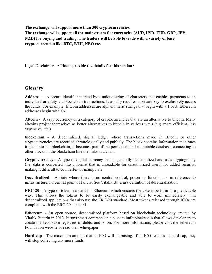**The exchange will support more than 300 cryptocurrencies. The exchange will support all the mainstream fiat currencies (AUD, USD, EUR, GBP, JPY, NZD) for buying and trading. The traders will be able to trade with a variety of base cryptocurrencies like BTC, ETH, NEO etc.**

Legal Disclaimer - **\* Please provide the details for this section\***

## **Glossary:**

**Address** - A secure identifier marked by a unique string of characters that enables payments to an individual or entity via blockchain transactions. It usually requires a private key to exclusively access the funds. For example, Bitcoin addresses are alphanumeric strings that begin with a 1 or 3; Ethereum addresses begin with '0x'.

**Altcoin** - A cryptocurrency or a category of cryptocurrencies that are an alternative to bitcoin. Many altcoins project themselves as better alternatives to bitcoin in various ways (e.g. more efficient, less expensive, etc.)

**blockchain** - A decentralized, digital ledger where transactions made in Bitcoin or other cryptocurrencies are recorded chronologically and publicly. The block contains information that, once it goes into the blockchain, it becomes part of the permanent and immutable database, connecting to other blocks in the blockchain like the links in a chain.

**Cryptocurrency** - A type of digital currency that is generally decentralized and uses cryptography (i.e. data is converted into a format that is unreadable for unauthorized users) for added security, making it difficult to counterfeit or manipulate.

**Decentralized** - A state where there is no central control, power or function, or in reference to infrastructure, no central point of failure. See Vitalik Buterin's definition of decentralization.

**ERC-20** - A type of token standard for Ethereum which ensures the tokens perform in a predictable way. This allows the tokens to be easily exchangeable and able to work immediately with decentralized applications that also use the ERC-20 standard. Most tokens released through ICOs are compliant with the ERC-20 standard.

**Ethereum** - An open source, decentralized platform based on blockchain technology created by Vitalik Buterin in 2013. It runs smart contracts on a custom built blockchain that allows developers to create markets, store registries of debts, and so on. For more information, please visit the Ethereum Foundation website or read their whitepaper.

**Hard cap** - The maximum amount that an ICO will be raising. If an ICO reaches its hard cap, they will stop collecting any more funds.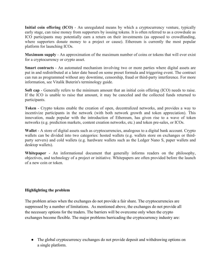**Initial coin offering (ICO)** - An unregulated means by which a cryptocurrency venture, typically early stage, can raise money from supporters by issuing tokens. It is often referred to as a crowdsale as ICO participants may potentially earn a return on their investments (as opposed to crowdfunding, where supporters donate money to a project or cause). Ethereum is currently the most popular platform for launching ICOs.

**Maximum supply** - An approximation of the maximum number of coins or tokens that will ever exist for a cryptocurrency or crypto asset.

**Smart contracts** - An automated mechanism involving two or more parties where digital assets are put in and redistributed at a later date based on some preset formula and triggering event. The contract can run as programmed without any downtime, censorship, fraud or third-party interference. For more information, see Vitalik Buterin's terminology guide.

**Soft cap** - Generally refers to the minimum amount that an initial coin offering (ICO) needs to raise. If the ICO is unable to raise that amount, it may be canceled and the collected funds returned to participants.

**Token** - Crypto tokens enable the creation of open, decentralized networks, and provides a way to incentivize participants in the network (with both network growth and token appreciation). This innovation, made popular with the introduction of Ethereum, has given rise to a wave of token networks (e.g. prediction markets, content creation networks, etc.) and token pre-sales, or ICOs.

**Wallet** - A store of digital assets such as cryptocurrencies, analogous to a digital bank account. Crypto wallets can be divided into two categories: hosted wallets (e.g. wallets store on exchanges or thirdparty servers) and cold wallets (e.g. hardware wallets such as the Ledger Nano S, paper wallets and desktop wallets).

**Whitepaper** - An informational document that generally informs readers on the philosophy, objectives, and technology of a project or initiative. Whitepapers are often provided before the launch of a new coin or token.

#### **Highlighting the problem**

The problem arises when the exchanges do not provide a fair share. The cryptocurrencies are suppressed by a number of limitations. As mentioned above, the exchanges do not provide all the necessary options for the traders. The barriers will be overcome only when the crypto exchanges become flexible. The major problems barricading the cryptocurrency industry are:

• The global cryptocurrency exchanges do not provide deposit and withdrawing options on a single platform.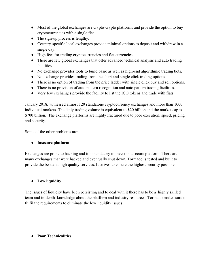- Most of the global exchanges are crypto-crypto platforms and provide the option to buy cryptocurrencies with a single fiat.
- The sign-up process is lengthy.
- Country-specific local exchanges provide minimal options to deposit and withdraw in a single day.
- High fees for trading cryptocurrencies and fiat currencies.
- There are few global exchanges that offer advanced technical analysis and auto trading facilities.
- No exchange provides tools to build basic as well as high-end algorithmic trading bots.
- No exchange provides trading from the chart and single click trading options
- There is no option of trading from the price ladder with single click buy and sell options.
- There is no provision of auto pattern recognition and auto pattern trading facilities.
- Very few exchanges provide the facility to list the ICO tokens and trade with fiats.

January 2018, witnessed almost 120 standalone cryptocurrency exchanges and more than 1000 individual markets. The daily trading volume is equivalent to \$20 billion and the market cap is \$700 billion. The exchange platforms are highly fractured due to poor execution, speed, pricing and security.

Some of the other problems are:

## ● **Insecure platform:**

Exchanges are prone to hacking and it's mandatory to invest in a secure platform. There are many exchanges that were hacked and eventually shut down. Tormado is tested and built to provide the best and high quality services. It strives to ensure the highest security possible.

## ● **Low liquidity**

The issues of liquidity have been persisting and to deal with it there has to be a highly skilled team and in-depth knowledge about the platform and industry resources. Tormado makes sure to fulfil the requirements to eliminate the low liquidity issues.

## ● **Poor Technicalities**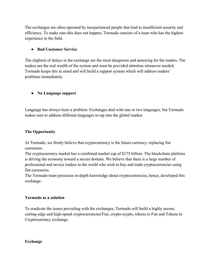The exchanges are often operated by inexperienced people that lead to insufficient security and efficiency. To make sure this does not happen, Tormado consists of a team who has the highest experience in the field.

## ● **Bad Customer Service**

The slightest of delays in the exchange are the most dangerous and annoying for the traders. The traders are the real wealth of the system and must be provided attention whenever needed. Tormado keeps this in mind and will build a support system which will address traders' problems immediately.

## ● **No Language support**

Language has always been a problem. Exchanges deal with one or two languages, but Tormado makes sure to address different languages to tap into the global market.

## **The Opportunity**

At Tormado, we firmly believe that cryptocurrency is the future currency, replacing fiat currencies.

The cryptocurrency market has a combined market cap of \$175 billion. The blockchain platform is driving the economy toward a secure domain. We believe that there is a large number of professional and novice traders in the world who wish to buy and trade cryptocurrencies using fiat currencies.

The Tormado team possesses in-depth knowledge about cryptocurrencies, hence, developed this exchange.

#### **Tormado as a solution**

To eradicate the issues prevailing with the exchanges, Tormado will build a highly secure, cutting-edge and high-speed cryptocurrencies/Fiat, crypto-crypto, tokens to Fiat and Tokens to Cryptocurrency exchange.

#### **Exchange**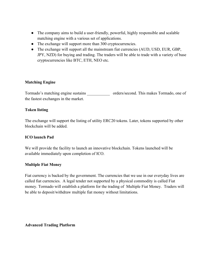- The company aims to build a user-friendly, powerful, highly responsible and scalable matching engine with a various set of applications.
- The exchange will support more than 300 cryptocurrencies.
- The exchange will support all the mainstream fiat currencies (AUD, USD, EUR, GBP, JPY, NZD) for buying and trading. The traders will be able to trade with a variety of base cryptocurrencies like BTC, ETH, NEO etc.

#### **Matching Engine**

Tormado's matching engine sustains orders/second. This makes Tormado, one of the fastest exchanges in the market.

#### **Token listing**

The exchange will support the listing of utility ERC20 tokens. Later, tokens supported by other blockchain will be added.

#### **ICO launch Pad**

We will provide the facility to launch an innovative blockchain. Tokens launched will be available immediately upon completion of ICO.

#### **Multiple Fiat Money**

Fiat currency is backed by the government. The currencies that we use in our everyday lives are called fiat currencies. A legal tender not supported by a physical commodity is called Fiat money. Tormado will establish a platform for the trading of Multiple Fiat Money. Traders will be able to deposit/withdraw multiple fiat money without limitations.

**Advanced Trading Platform**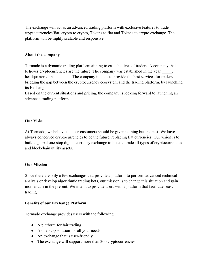The exchange will act as an advanced trading platform with exclusive features to trade cryptocurrencies/fiat, crypto to crypto, Tokens to fiat and Tokens to crypto exchange. The platform will be highly scalable and responsive.

### **About the company**

Tormado is a dynamic trading platform aiming to ease the lives of traders. A company that believes cryptocurrencies are the future. The company was established in the year headquartered in The company intends to provide the best services for traders bridging the gap between the cryptocurrency ecosystem and the trading platform, by launching its Exchange.

Based on the current situations and pricing, the company is looking forward to launching an advanced trading platform.

#### **Our Vision**

At Tormado, we believe that our customers should be given nothing but the best. We have always conceived cryptocurrencies to be the future, replacing fiat currencies. Our vision is to build a global one-stop digital currency exchange to list and trade all types of cryptocurrencies and blockchain utility assets.

#### **Our Mission**

Since there are only a few exchanges that provide a platform to perform advanced technical analysis or develop algorithmic trading bots, our mission is to change this situation and gain momentum in the present. We intend to provide users with a platform that facilitates easy trading.

#### **Benefits of our Exchange Platform**

Tormado exchange provides users with the following:

- A platform for fair trading
- A one-stop solution for all your needs
- An exchange that is user-friendly
- The exchange will support more than 300 cryptocurrencies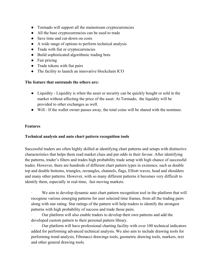- Tormado will support all the mainstream cryptocurrencies
- All the base cryptocurrencies can be used to trade
- Save time and cut-down on costs
- A wide range of options to perform technical analysis
- Trade with fiat or cryptocurrencies
- Build sophisticated algorithmic trading bots
- Fair pricing
- Trade tokens with fiat pairs
- The facility to launch an innovative blockchain ICO

#### **The feature that outstands the others are:**

- Liquidity Liquidity is when the asset or security can be quickly bought or sold in the market without affecting the price of the asset. At Tormado, the liquidity will be provided to other exchanges as well.
- Will If the wallet owner passes away, the total coins will be shared with the nominee.

#### **Features**

#### **Technical analysis and auto chart pattern recognition tools**

Successful traders are often highly skilled at identifying chart patterns and setups with distinctive characteristics that helps them read market clues and put odds in their favour. After identifying the patterns, trader's filters and trades high probability trade setup with high chance of successful trades. However, there are hundreds of different chart pattern types in existence, such as double top and double bottoms, triangles, rectangles, channels, flags, Elliott waves, head and shoulders and many other patterns. However, with so many different patterns it becomes very difficult to identify them, especially in real-time, fast moving markets.

· We aim to develop dynamic auto chart pattern recognition tool in the platform that will recognise various emerging patterns for user selected time frames, from all the trading pairs along with star rating. Star ratings of the pattern will help traders to identify the strongest patterns with high probability of success and trade those pairs.

· Our platform will also enable traders to develop their own patterns and add the developed custom pattern to their personal pattern library.

Our platform will have professional charting facility with over 100 technical indicators added for performing advanced technical analysis. We also aim to include drawing tools for performing trend analysis, Fibonacci drawings tools, geometric drawing tools, markers, text and other general drawing tools.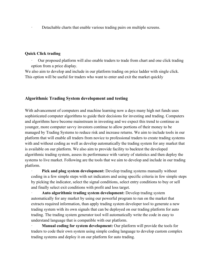Detachable charts that enable various trading pairs on multiple screens.

### **Quick Click trading**

· Our proposed platform will also enable traders to trade from chart and one click trading option from a price display.

We also aim to develop and include in our platform trading on price ladder with single click. This option will be useful for traders who want to enter and exit the market quickly

#### **Algorithmic Trading System development and testing**

With advancement of computers and machine learning now a days many high net funds uses sophisticated computer algorithms to guide their decisions for investing and trading. Computers and algorithms have become mainstream in investing and we expect this trend to continue as younger, more computer savvy investors continue to allow portions of their money to be managed by Trading Systems to reduce risk and increase returns. We aim to include tools in our platform that will enable all traders from novice to professional traders to create trading systems with and without coding as well as develop automatically the trading system for any market that is available on our platform. We also aim to provide facility to backtest the developed algorithmic trading system, assess its performance with variety of statistics and then deploy the systems to live market. Following are the tools that we aim to develop and include in our trading platform.

· **Pick and plug system development:** Develop trading systems manually without coding in a few simple steps with set indicators and using specific criteria in few simple steps by picking the indicator, select the signal conditions, select entry conditions to buy or sell and finally select exit conditions with profit and loss target.

· **Auto algorithmic trading system development:** Develop trading system automatically for any market by using our powerful program to run on the market that extracts required information, than apply trading system developer tool to generate a new trading system with its own signals that can be deployed on our trading platform for auto trading. The trading system generator tool will automatically write the code in easy to understand language that is compatible with our platform.

· **Manual coding for system development:** Our platform will provide the tools for traders to code their own system using simple coding language to develop custom complex trading systems and deploy it on our platform for auto trading.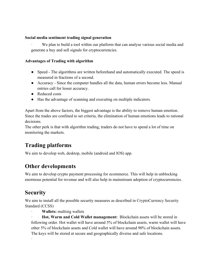#### **Social media sentiment trading signal generation**

We plan to build a tool within our platform that can analyse various social media and generate a buy and sell signals for cryptocurrencies.

#### **Advantages of Trading with algorithm**

- Speed The algorithms are written beforehand and automatically executed. The speed is measured in fractions of a second.
- Accuracy Since the computer handles all the data, human errors become less. Manual entries call for lesser accuracy.
- Reduced costs
- Has the advantage of scanning and executing on multiple indicators.

Apart from the above factors, the biggest advantage is the ability to remove human emotion. Since the trades are confined to set criteria, the elimination of human emotions leads to rational decisions.

The other perk is that with algorithm trading, traders do not have to spend a lot of time on monitoring the markets.

# **Trading platforms**

We aim to develop web, desktop, mobile (android and IOS) app.

## **Other developments**

We aim to develop crypto payment processing for ecommerce. This will help in unblocking enormous potential for revenue and will also help in mainstream adoption of cryptocurrencies.

## **Security**

·

We aim to install all the possible security measures as described in CryptoCurrency Security Standard (CCSS)

· **Wallets:** multisig wallets

· **Hot, Warm and Cold Wallet management:** Blockchain assets will be stored in following order. Hot wallet will have around 5% of blockchain assets, warm wallet will have other 5% of blockchain assets and Cold wallet will have around 90% of blockchain assets. The keys will be stored at secure and geographically diverse and safe locations.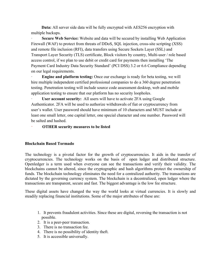**Data:** All server side data will be fully encrypted with AES256 encryption with multiple backups.

**Secure Web Service:** Website and data will be secured by installing Web Application Firewall (WAF) to protect from threats of DDoS, SQL injection, cross-site scripting (XSS) and remote file inclusion (RFI), data transfers using Secure Sockets Layer (SSL) and Transport Layer Security (TLS) certificate, Block visitors by country, Multi-user / role based access control, if we plan to use debit or credit card for payments then installing 'The Payment Card Industry Data Security Standard' (PCI DSS) 3.2 or 6.6 Compliance depending on our legal requirements.

**Engine and platform testing:** Once our exchange is ready for beta testing, we will hire multiple independent certified professional companies to do a 360 degree penetration testing. Penetration testing will include source code assessment desktop, web and mobile application testing to ensure that our platform has no security loopholes.

**User account security:** All users will have to activate 2FA using Google Authenticator. 2FA will be used to authorize withdrawals of fiat or cryptocurrency from user's wallet. User password should have minimum of 10 characters and MUST include at least one small letter, one capital letter, one special character and one number. Password will be salted and hashed.

### · **OTHER security measures to be listed**

#### **Blockchain Based Tormado**

The technology is a pivotal factor for the growth of cryptocurrencies. It aids in the transfer of cryptocurrencies. The technology works on the basis of open ledger and distributed structure. Openledger is a term used when everyone can see the transactions and verify their validity. The blockchains cannot be altered, since the cryptographic and hash algorithms protect the ownership of funds. The blockchain technology eliminates the need for a centralized authority. The transactions are dictated by the governing currency system. The blockchain is a decentralized, open ledger where the transactions are transparent, secure and fast. The biggest advantage is the low fee structure.

These digital assets have changed the way the world looks at virtual currencies. It is slowly and steadily replacing financial institutions. Some of the major attributes of these are:

- 1. It prevents fraudulent activities. Since these are digital, reversing the transaction is not possible.
- 2. It is a peer-peer transaction.
- 3. There is no transaction fee.
- 4. There is no possibility of identity theft.
- 5. It is accessible universally.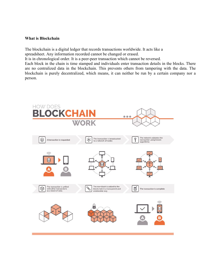#### **What is Blockchain**

The blockchain is a digital ledger that records transactions worldwide. It acts like a spreadsheet. Any information recorded cannot be changed or erased.

It is in chronological order. It is a peer-peer transaction which cannot be reversed.

Each block in the chain is time stamped and individuals enter transaction details in the blocks. There are no centralized data in the blockchain. This prevents others from tampering with the data. The blockchain is purely decentralized, which means, it can neither be run by a certain company nor a person.

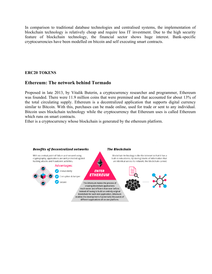In comparison to traditional database technologies and centralised systems, the implementation of blockchain technology is relatively cheap and require less IT investment. Due to the high security feature of blockchain technology, the financial sector shows huge interest. Bank-specific cryptocurrencies have been modelled on bitcoin and self executing smart contracts.

#### **ERC20 TOKENS**

## **Ethereum: The network behind Tormado**

Proposed in late 2013, by Vitalik Buterin, a cryptocurrency researcher and programmer, Ethereum was founded. There were 11.9 million coins that were premined and that accounted for about 13% of the total circulating supply. Ethereum is a decentralized application that supports digital currency similar to Bitcoin. With this, purchases can be made online, used for trade or sent to any individual. Bitcoin uses blockchain technology while the cryptocurrency that Ethereum uses is called Ethereum which runs on smart contracts.

Ether is a cryptocurrency whose blockchain is generated by the ethereum platform.

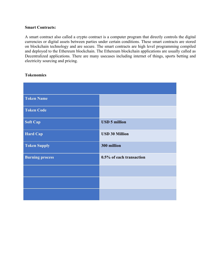#### **Smart Contracts:**

A smart contract also called a crypto contract is a computer program that directly controls the digital currencies or digital assets between parties under certain conditions. These smart contracts are stored on blockchain technology and are secure. The smart contracts are high level programming compiled and deployed to the Ethereum blockchain. The Ethereum blockchain applications are usually called as Decentralized applications. There are many usecases including internet of things, sports betting and electricity sourcing and pricing.

| <b>Token Name</b>      |                          |
|------------------------|--------------------------|
| <b>Token Code</b>      |                          |
| <b>Soft Cap</b>        | <b>USD 5 million</b>     |
| <b>Hard Cap</b>        | <b>USD 30 Million</b>    |
| <b>Token Supply</b>    | 300 million              |
| <b>Burning process</b> | 0.5% of each transaction |
|                        |                          |
|                        |                          |
|                        |                          |

### **Tokenomics**